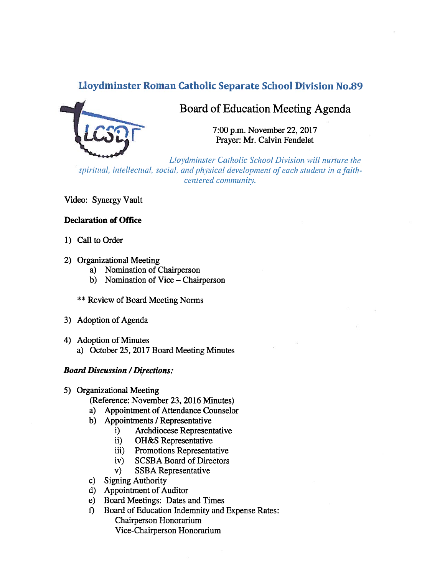# Lloydminster Roman Catholic Separate School Division No.89



# Board of Education Meeting Agenda

7:00 p.m. November 22, 2017 Prayer: Mr. Calvin Fendelet

Lloydminster Catholic School Division will nurture the spiritual, intellectual, social, and physical development of each student in a faithcentered community.

Video: Synergy Vault

### Declaration of Office

- 1) Call to Order
- 2) Organizational Meeting
	- a) Nomination of Chairperson
	- b) Nomination of Vice Chairperson
	- \*\* Review of Board Meeting Norms
- 3) Adoption of Agenda
- 4) Adoption of Minutes a) October 25, 2017 Board Meeting Minutes

#### **Board Discussion / Directions:**

- 5) Organizational Meeting
	- (Reference: November 23, 2016 Minutes)
	- a) Appointment of Attendance Counselor
	- b) Appointments / Representative
		- i) Archdiocese Representative
		- ii) OH&S Representative
		- iii) Promotions Representative
		- iv) SCSBA Board of Directors
		- v) SSBA Representative
	- c) Signing Authority
	- d) Appointment of Auditor
	- e) Board Meetings: Dates and Times
	- f) Board of Education Indemnity and Expense Rates: Chairperson Honorarium Vice-Chairperson Honorarium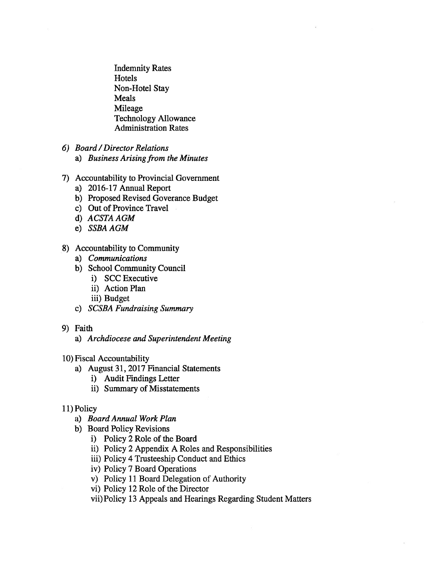Indemnity Rates **Hotels** Non-Hotel Stay Meals Mileage Technology Allowance Administration Rates

- 6) Board/Director Relations
	- a) Business Arising from the Minutes
- 7) Accountability to Provincial Government
	- a) 2016-17 Annual Report
	- b) Proposed Revised Goverance Budget
	- c) Out of Province Travel
	- d) ACSTA AGM
	- e) SSBA AGM
- 8) Accountability to Community
	- a) Communications
	- b) School Community Council
		- i) SCC Executive
		- ii) Action Plan
		- iii) Budget
	- c) SCSBA Fundraising Summary
- 9) Faith
	- a) Archdiocese and Superintendent Meeting
- 10) Fiscal Accountability
	- a) August 31, 2017 Financial Statements
		- i) Audit Findings Letter
		- ii) Summary of Misstatements

### 11) Policy

- a) Board Annual Work Plan
- b) Board Policy Revisions
	- i) Policy 2 Role of the Board
	- ii) Policy 2 Appendix A Roles and Responsibilities
	- iii) Policy 4 Trusteeship Conduct and Ethics
	- iv) Policy 7 Board Operations
	- v) Policy 11 Board Delegation of Authority
	- vi) Policy 12 Role of the Director
	- vii) Policy 13 Appeals and Hearings Regarding Student Matters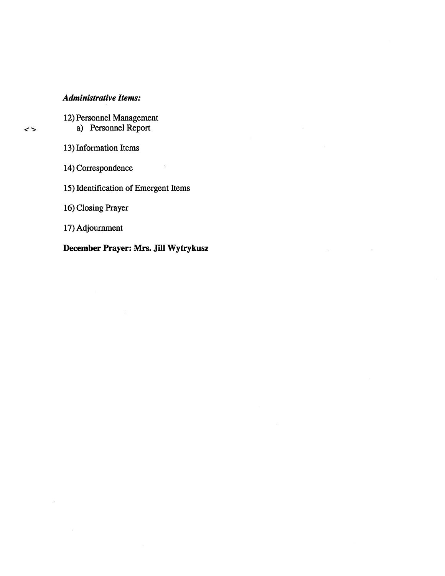# Administrative Items:

12) Personnel Management a) Personnel Report

13) Information Items

14) Correspondence

15) Identification of Emergent Items

 $\cdot$   $\cdot$ 

16) Closing Prayer

17) Adjournment

December Prayer: Mrs. Jill Wytrykusz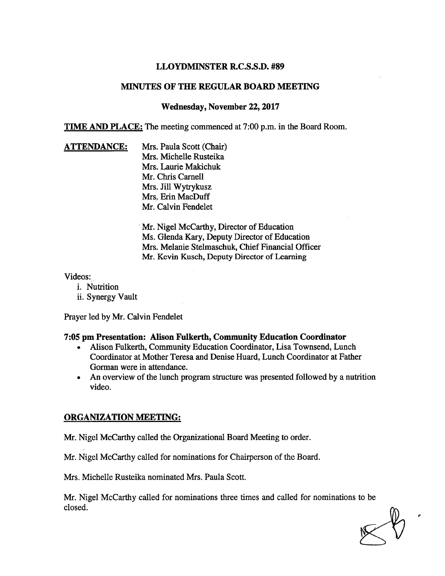### LLOYDMINSTER R.C.S.S.D. #89

### MINUTES OF THE REGULAR BOARD MEETING

### Wednesday, November 22, 2017

TIME AND PLACE: The meeting commenced at 7:00 p.m. in the Board Room.

**ATTENDANCE:** Mrs. Paula Scott (Chair) Mrs. Michelle Rusteika Mrs. Laurie Makichuk Mr. Chris Carnell Mrs. Jill Wytrykusz Mrs. Erin MacDuff Mr. Calvin Fendelet

> Mr. Nigel McCarthy, Director of Education Ms. Glenda Kary, Deputy Director of Education Mrs. Melanie Stelmaschuk, Chief Financial Officer Mr. Kevin Kusch, Deputy Director of Learning

Videos:

- i. Nutrition
- ii. Synergy Vault

Prayer led by Mr. Calvin Fendelet

#### 7:05 pm Presentation: Alison Fulkerth, Community Education Coordinator

- • Alison Fulkerth, Community Education Coordinator, Lisa Townsend, Lunch Coordinator at Mother Teresa and Denise Huard, Lunch Coordinator at Father Gorman were in attendance.
- An overview of the lunch program structure was presented followed by <sup>a</sup> nutrition video.

### ORGANIZATION MEETING:

Mr. Nigel McCarthy called the Organizational Board Meeting to order.

Mr. Nigel McCarthy called for nominations for Chairperson of the Board.

Mrs. Michelle Rusteika nominated Mrs. Paula Scott.

Mr. Nigel McCarthy called for nominations three times and called for nominations to be closed.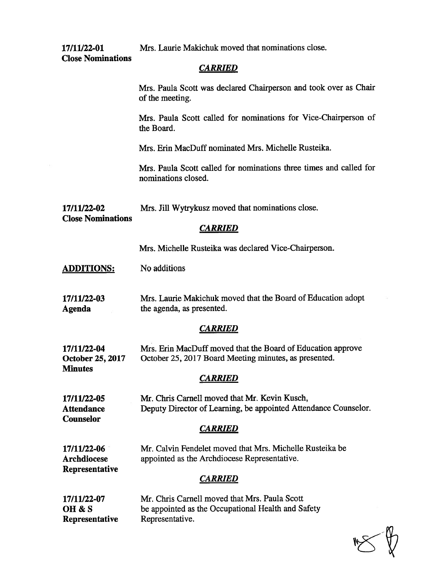Close Nominations

17/11/22-01 Mrs. Laurie Makichuk moved that nominations close.

# **CARRIED**

Mrs. Paula Scott was declared Chairperson and took over as Chair of the meeting.

Mrs. Paula Scott called for nominations for Vice-Chairperson of the Board.

Mrs. Erin MacDuff nominated Mrs. Michelle Rusteika.

Mrs. Paula Scott called for nominations three times and called for nominations closed.

17/11/22-02 Mrs. Jill Wytrykusz moved that nominations close.

Close Nominations

# **CARRIED**

Mrs. Michelle Rusteika was declared Vice-Chairperson.

ADDITIONS: No additions

17/11/22-03 Mrs. Laurie Makichuk moved that the Board of Education adopt Agenda the agenda, as presented.

## **CARRIED**

| 17/11/22-04             | Mrs. Erin MacDuff moved that the Board of Education approve |
|-------------------------|-------------------------------------------------------------|
| <b>October 25, 2017</b> | October 25, 2017 Board Meeting minutes, as presented.       |
| <b>Minutes</b>          |                                                             |

# **CARRIED**

| 17/11/22-05       | Mr. Chris Carnell moved that Mr. Kevin Kusch,                   |
|-------------------|-----------------------------------------------------------------|
| <b>Attendance</b> | Deputy Director of Learning, be appointed Attendance Counselor. |
| <b>Counselor</b>  |                                                                 |

## **CARRIED**

17/11/22-06 Mr. Calvin Fendelet moved that Mrs. Michelle Rusteika be Archdiocese appointed as the Archdiocese Representative. Representative

## **CARRIED**

| 17/11/22-07    | Mr. Chris Carnell moved that Mrs. Paula Scott      |
|----------------|----------------------------------------------------|
| OH & S         | be appointed as the Occupational Health and Safety |
| Representative | Representative.                                    |

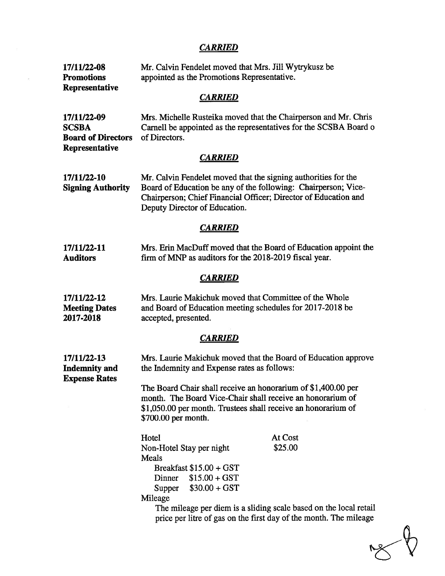# **CARRIED**

 $\overline{\mathcal{C}}$ 

| 17/11/22-08<br><b>Promotions</b><br>Representative          | Mr. Calvin Fendelet moved that Mrs. Jill Wytrykusz be<br>appointed as the Promotions Representative.                                                                                                                                                                               |                    |  |  |  |
|-------------------------------------------------------------|------------------------------------------------------------------------------------------------------------------------------------------------------------------------------------------------------------------------------------------------------------------------------------|--------------------|--|--|--|
| <b>CARRIED</b>                                              |                                                                                                                                                                                                                                                                                    |                    |  |  |  |
| 17/11/22-09<br><b>SCSBA</b><br><b>Board of Directors</b>    | Mrs. Michelle Rusteika moved that the Chairperson and Mr. Chris<br>Carnell be appointed as the representatives for the SCSBA Board of<br>of Directors.                                                                                                                             |                    |  |  |  |
| Representative                                              | <b>CARRIED</b>                                                                                                                                                                                                                                                                     |                    |  |  |  |
| 17/11/22-10<br><b>Signing Authority</b>                     | Mr. Calvin Fendelet moved that the signing authorities for the<br>Board of Education be any of the following: Chairperson; Vice-<br>Chairperson; Chief Financial Officer; Director of Education and<br>Deputy Director of Education.                                               |                    |  |  |  |
| <b>CARRIED</b>                                              |                                                                                                                                                                                                                                                                                    |                    |  |  |  |
| 17/11/22-11<br><b>Auditors</b>                              | Mrs. Erin MacDuff moved that the Board of Education appoint the<br>firm of MNP as auditors for the 2018-2019 fiscal year.                                                                                                                                                          |                    |  |  |  |
|                                                             | <b>CARRIED</b>                                                                                                                                                                                                                                                                     |                    |  |  |  |
| 17/11/22-12<br><b>Meeting Dates</b><br>2017-2018            | Mrs. Laurie Makichuk moved that Committee of the Whole<br>and Board of Education meeting schedules for 2017-2018 be<br>accepted, presented.                                                                                                                                        |                    |  |  |  |
|                                                             | <b>CARRIED</b>                                                                                                                                                                                                                                                                     |                    |  |  |  |
| 17/11/22-13<br><b>Indemnity and</b><br><b>Expense Rates</b> | Mrs. Laurie Makichuk moved that the Board of Education approve<br>the Indemnity and Expense rates as follows:                                                                                                                                                                      |                    |  |  |  |
|                                                             | The Board Chair shall receive an honorarium of \$1,400.00 per<br>month. The Board Vice-Chair shall receive an honorarium of<br>\$1,050.00 per month. Trustees shall receive an honorarium of<br>\$700.00 per month.                                                                |                    |  |  |  |
|                                                             | Hotel<br>Non-Hotel Stay per night<br>Meals<br>Breakfast \$15.00 + GST<br>$$15.00 + GST$<br>Dinner<br>$$30.00 + GST$<br>Supper<br>Mileage<br>The mileage per diem is a sliding scale based on the local retail<br>price per litre of gas on the first day of the month. The mileage | At Cost<br>\$25.00 |  |  |  |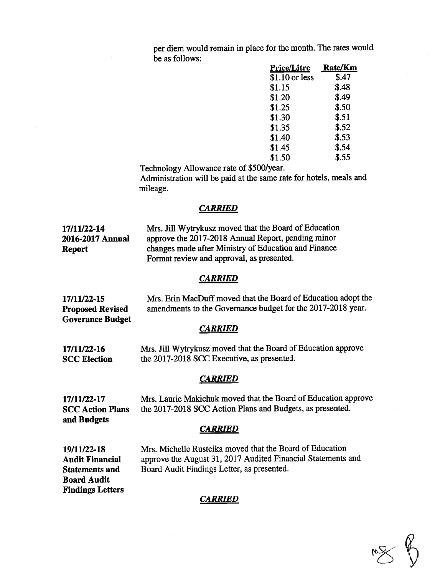per diem would remain in <sup>p</sup>lace for the month. The rates would be as follows:

| <b>Price/Litre</b> | <b>Rate/Km</b> |
|--------------------|----------------|
| $$1.10$ or less    | \$.47          |
| \$1.15             | \$.48          |
| \$1.20             | \$.49          |
| \$1.25             | \$.50          |
| \$1.30             | \$.51          |
| \$1.35             | \$.52          |
| \$1.40             | \$.53          |
| \$1.45             | \$.54          |
| \$1.50             | \$.55          |

Technology Allowance rate of \$500/year.

Administration will be paid at the same rate for hotels, meals and mileage.

#### **CARRIED**

17/11/22-14 Mrs. Jill Wytrykusz moved that the Board of Education 2016-2017 Annual approve the 2017-2018 Annual Report, pending minor Report changes made after Ministry of Education and Finance Format review and approval, as presented.

#### **CARRIED**

17/11/22-15 Mrs. Erin MacDuff moved that the Board of Education adopt the Proposed Revised amendments to the Governance budget for the 2017-2018 year. Goverance Budget

#### **CARRIED**

17/11/22-16 Mrs. Jill Wytrykusz moved that the Board of Education approve SCC Election the 2017-2018 SCC Executive, as presented.

#### **CARRIED**

17/11122-17 Mrs. Laurie Maltichuk moved that the Board of Education approve SCC Action Plans the 2017-2018 SCC Action Plans and Budgets, as presented. and Budgets

#### **CARRIED**

Board Audit Findings Letters

19/11/22-18 Mrs. Michelle Rusteika moved that the Board of Education Audit Financial approve the August 31, <sup>2017</sup> Audited financial Statements and Statements and Board Audit Findings Letter, as presented.

### CARRIED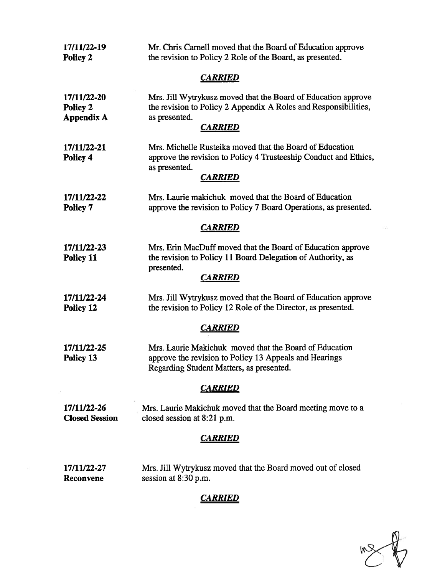| 17/11/22-19<br>Policy 2                      | Mr. Chris Carnell moved that the Board of Education approve<br>the revision to Policy 2 Role of the Board, as presented.                                            |
|----------------------------------------------|---------------------------------------------------------------------------------------------------------------------------------------------------------------------|
|                                              | <b>CARRIED</b>                                                                                                                                                      |
| 17/11/22-20<br>Policy 2<br><b>Appendix A</b> | Mrs. Jill Wytrykusz moved that the Board of Education approve<br>the revision to Policy 2 Appendix A Roles and Responsibilities,<br>as presented.<br><b>CARRIED</b> |
| 17/11/22-21<br>Policy 4                      | Mrs. Michelle Rusteika moved that the Board of Education<br>approve the revision to Policy 4 Trusteeship Conduct and Ethics,<br>as presented.<br><b>CARRIED</b>     |
| 17/11/22-22<br>Policy 7                      | Mrs. Laurie makichuk moved that the Board of Education<br>approve the revision to Policy 7 Board Operations, as presented.                                          |
|                                              | <b>CARRIED</b>                                                                                                                                                      |
| 17/11/22-23<br>Policy 11                     | Mrs. Erin MacDuff moved that the Board of Education approve<br>the revision to Policy 11 Board Delegation of Authority, as<br>presented.<br><b>CARRIED</b>          |
| 17/11/22-24<br>Policy 12                     | Mrs. Jill Wytrykusz moved that the Board of Education approve<br>the revision to Policy 12 Role of the Director, as presented.                                      |
|                                              | <b>CARRIED</b>                                                                                                                                                      |
| 17/11/22-25<br>Policy 13                     | Mrs. Laurie Makichuk moved that the Board of Education<br>approve the revision to Policy 13 Appeals and Hearings<br>Regarding Student Matters, as presented.        |
|                                              | <b>CARRIED</b>                                                                                                                                                      |
| 17/11/22-26<br><b>Closed Session</b>         | Mrs. Laurie Makichuk moved that the Board meeting move to a<br>closed session at 8:21 p.m.                                                                          |
|                                              | <b>CARRIED</b>                                                                                                                                                      |
| 17/11/22-27<br>Reconvene                     | Mrs. Jill Wytrykusz moved that the Board moved out of closed<br>session at 8:30 p.m.<br><u>CARRIED</u>                                                              |
|                                              |                                                                                                                                                                     |

 $\sum_{n=1}^{\infty}$